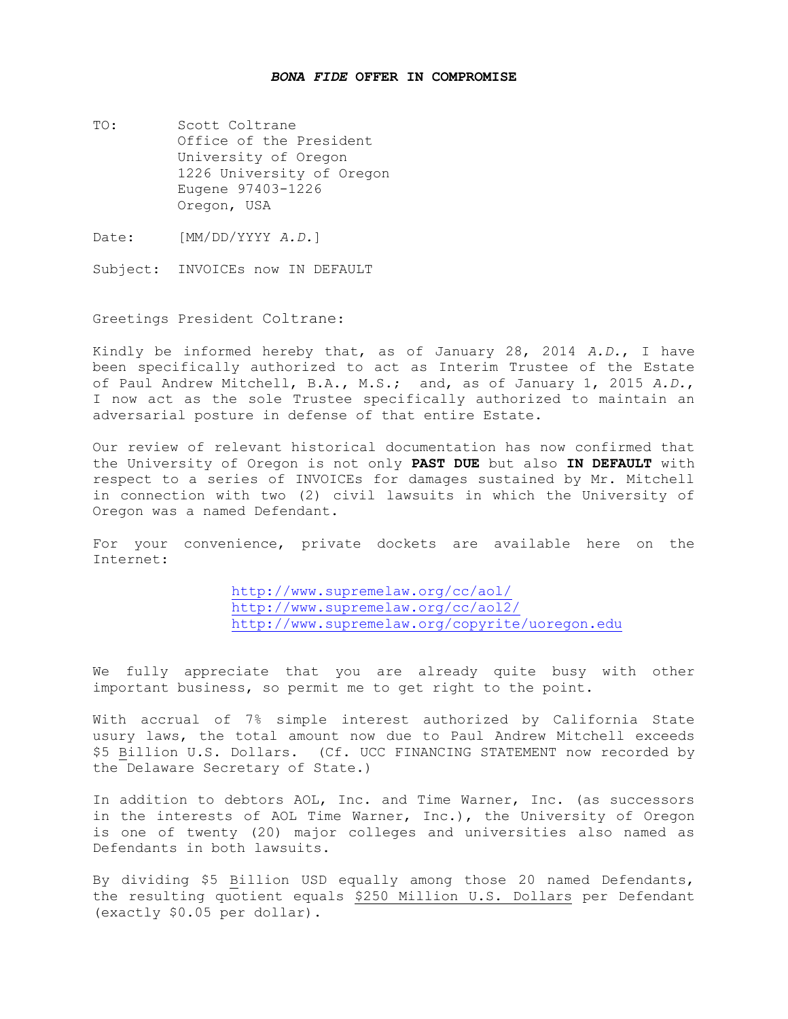## *BONA FIDE* **OFFER IN COMPROMISE**

- TO: Scott Coltrane Office of the President University of Oregon 1226 University of Oregon Eugene 97403-1226 Oregon, USA
- Date: [MM/DD/YYYY *A.D.*]

Subject: INVOICEs now IN DEFAULT

Greetings President Coltrane:

Kindly be informed hereby that, as of January 28, 2014 *A.D.*, I have been specifically authorized to act as Interim Trustee of the Estate of Paul Andrew Mitchell, B.A., M.S.; and, as of January 1, 2015 *A.D.*, I now act as the sole Trustee specifically authorized to maintain an adversarial posture in defense of that entire Estate.

Our review of relevant historical documentation has now confirmed that the University of Oregon is not only **PAST DUE** but also **IN DEFAULT** with respect to a series of INVOICEs for damages sustained by Mr. Mitchell in connection with two (2) civil lawsuits in which the University of Oregon was a named Defendant.

For your convenience, private dockets are available here on the Internet:

> <http://www.supremelaw.org/cc/aol/> <http://www.supremelaw.org/cc/aol2/> <http://www.supremelaw.org/copyrite/uoregon.edu>

We fully appreciate that you are already quite busy with other important business, so permit me to get right to the point.

With accrual of 7% simple interest authorized by California State usury laws, the total amount now due to Paul Andrew Mitchell exceeds \$5 Billion U.S. Dollars. (Cf. UCC FINANCING STATEMENT now recorded by the Delaware Secretary of State.)

In addition to debtors AOL, Inc. and Time Warner, Inc. (as successors in the interests of AOL Time Warner, Inc.), the University of Oregon is one of twenty (20) major colleges and universities also named as Defendants in both lawsuits.

By dividing \$5 Billion USD equally among those 20 named Defendants, the resulting quotient equals \$250 Million U.S. Dollars per Defendant (exactly \$0.05 per dollar).